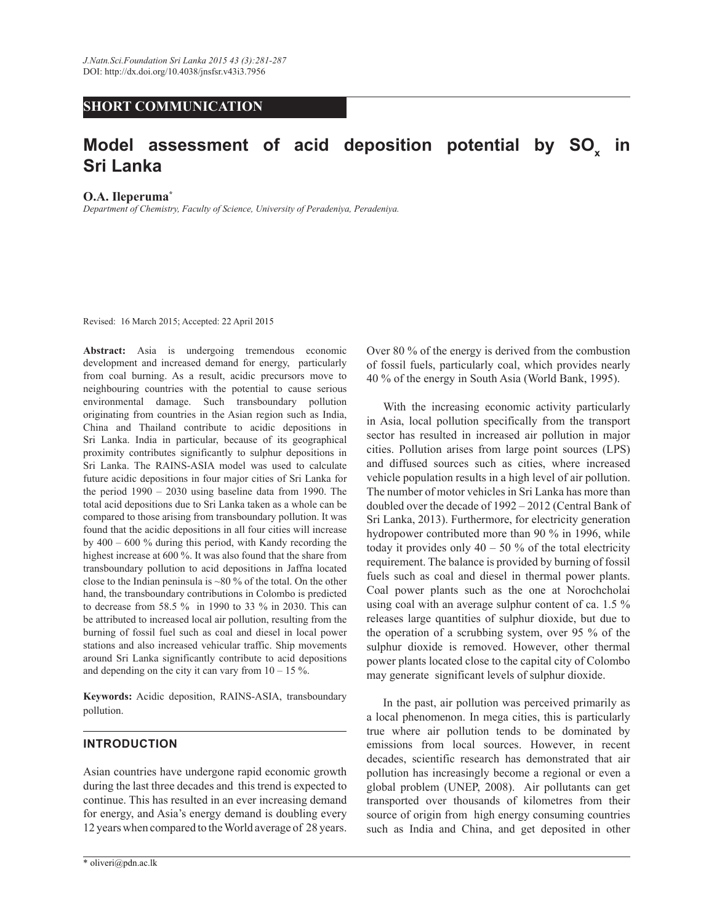# **SHORT COMMUNICATION**

# **Model assessment of acid deposition potential by SO<sup>x</sup> in Sri Lanka**

#### **O.A. Ileperuma\***

*Department of Chemistry, Faculty of Science, University of Peradeniya, Peradeniya.*

Revised: 16 March 2015; Accepted: 22 April 2015

**Abstract:** Asia is undergoing tremendous economic development and increased demand for energy, particularly from coal burning. As a result, acidic precursors move to neighbouring countries with the potential to cause serious environmental damage. Such transboundary pollution originating from countries in the Asian region such as India, China and Thailand contribute to acidic depositions in Sri Lanka. India in particular, because of its geographical proximity contributes significantly to sulphur depositions in Sri Lanka. The RAINS-ASIA model was used to calculate future acidic depositions in four major cities of Sri Lanka for the period  $1990 - 2030$  using baseline data from 1990. The total acid depositions due to Sri Lanka taken as a whole can be compared to those arising from transboundary pollution. It was found that the acidic depositions in all four cities will increase by 400 ‒ 600 % during this period, with Kandy recording the highest increase at 600 %. It was also found that the share from transboundary pollution to acid depositions in Jaffna located close to the Indian peninsula is  $\sim 80\%$  of the total. On the other hand, the transboundary contributions in Colombo is predicted to decrease from 58.5 % in 1990 to 33 % in 2030. This can be attributed to increased local air pollution, resulting from the burning of fossil fuel such as coal and diesel in local power stations and also increased vehicular traffic. Ship movements around Sri Lanka significantly contribute to acid depositions and depending on the city it can vary from  $10 - 15\%$ .

**Keywords:** Acidic deposition, RAINS-ASIA, transboundary pollution.

# **INTRODUCTION**

Asian countries have undergone rapid economic growth during the last three decades and this trend is expected to continue. This has resulted in an ever increasing demand for energy, and Asia's energy demand is doubling every 12 years when compared to the World average of 28 years.

Over 80 % of the energy is derived from the combustion of fossil fuels, particularly coal, which provides nearly 40 % of the energy in South Asia (World Bank, 1995).

 With the increasing economic activity particularly in Asia, local pollution specifically from the transport sector has resulted in increased air pollution in major cities. Pollution arises from large point sources (LPS) and diffused sources such as cities, where increased vehicle population results in a high level of air pollution. The number of motor vehicles in Sri Lanka has more than doubled over the decade of 1992 - 2012 (Central Bank of Sri Lanka, 2013). Furthermore, for electricity generation hydropower contributed more than 90 % in 1996, while today it provides only  $40 - 50$  % of the total electricity requirement. The balance is provided by burning of fossil fuels such as coal and diesel in thermal power plants. Coal power plants such as the one at Norochcholai using coal with an average sulphur content of ca. 1.5 % releases large quantities of sulphur dioxide, but due to the operation of a scrubbing system, over 95 % of the sulphur dioxide is removed. However, other thermal power plants located close to the capital city of Colombo may generate significant levels of sulphur dioxide.

 In the past, air pollution was perceived primarily as a local phenomenon. In mega cities, this is particularly true where air pollution tends to be dominated by emissions from local sources. However, in recent decades, scientific research has demonstrated that air pollution has increasingly become a regional or even a global problem (UNEP, 2008). Air pollutants can get transported over thousands of kilometres from their source of origin from high energy consuming countries such as India and China, and get deposited in other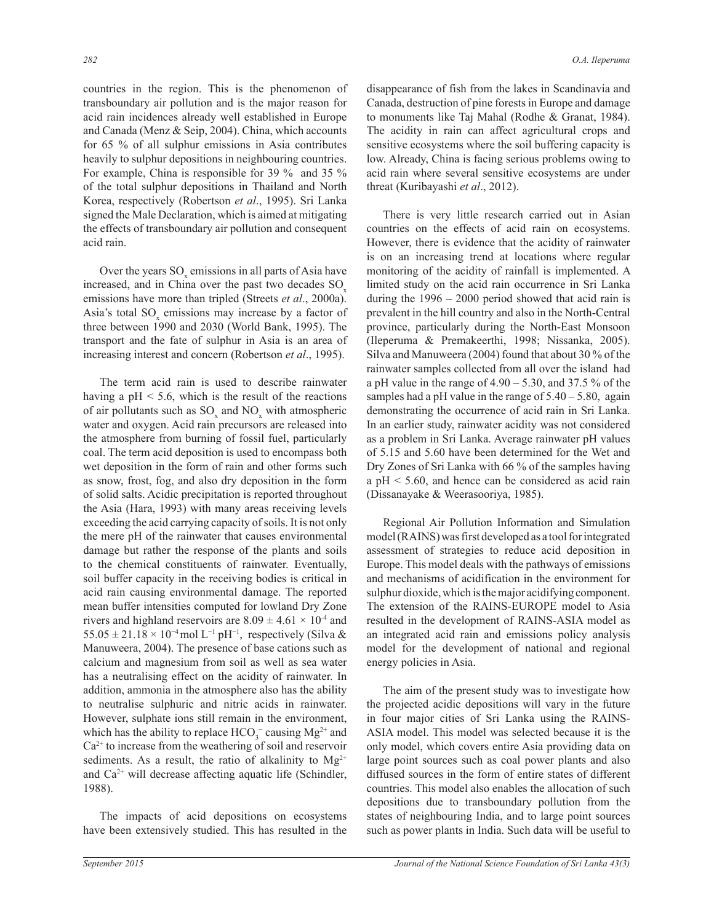countries in the region. This is the phenomenon of transboundary air pollution and is the major reason for acid rain incidences already well established in Europe and Canada (Menz & Seip, 2004). China, which accounts for 65 % of all sulphur emissions in Asia contributes heavily to sulphur depositions in neighbouring countries. For example, China is responsible for 39 % and 35 % of the total sulphur depositions in Thailand and North Korea, respectively (Robertson *et al*., 1995). Sri Lanka signed the Male Declaration, which is aimed at mitigating the effects of transboundary air pollution and consequent acid rain.

Over the years  $SO_x$  emissions in all parts of Asia have increased, and in China over the past two decades SO<sub>y</sub> emissions have more than tripled (Streets *et al*., 2000a). Asia's total  $SO_x$  emissions may increase by a factor of three between 1990 and 2030 (World Bank, 1995). The transport and the fate of sulphur in Asia is an area of increasing interest and concern (Robertson *et al*., 1995).

 The term acid rain is used to describe rainwater having a  $pH < 5.6$ , which is the result of the reactions of air pollutants such as  $SO_x$  and  $NO_x$  with atmospheric water and oxygen. Acid rain precursors are released into the atmosphere from burning of fossil fuel, particularly coal. The term acid deposition is used to encompass both wet deposition in the form of rain and other forms such as snow, frost, fog, and also dry deposition in the form of solid salts. Acidic precipitation is reported throughout the Asia (Hara, 1993) with many areas receiving levels exceeding the acid carrying capacity of soils. It is not only the mere pH of the rainwater that causes environmental damage but rather the response of the plants and soils to the chemical constituents of rainwater. Eventually, soil buffer capacity in the receiving bodies is critical in acid rain causing environmental damage. The reported mean buffer intensities computed for lowland Dry Zone rivers and highland reservoirs are  $8.09 \pm 4.61 \times 10^{-4}$  and 55.05 ± 21.18 × 10<sup>-4</sup> mol L<sup>-1</sup> pH<sup>-1</sup>, respectively (Silva & Manuweera, 2004). The presence of base cations such as calcium and magnesium from soil as well as sea water has a neutralising effect on the acidity of rainwater. In addition, ammonia in the atmosphere also has the ability to neutralise sulphuric and nitric acids in rainwater. However, sulphate ions still remain in the environment, which has the ability to replace  $HCO_3^-$  causing  $Mg^{2+}$  and  $Ca<sup>2+</sup>$  to increase from the weathering of soil and reservoir sediments. As a result, the ratio of alkalinity to  $Mg^{2+}$ and  $Ca<sup>2+</sup>$  will decrease affecting aquatic life (Schindler, 1988).

 The impacts of acid depositions on ecosystems have been extensively studied. This has resulted in the disappearance of fish from the lakes in Scandinavia and Canada, destruction of pine forests in Europe and damage to monuments like Taj Mahal (Rodhe & Granat, 1984). The acidity in rain can affect agricultural crops and sensitive ecosystems where the soil buffering capacity is low. Already, China is facing serious problems owing to acid rain where several sensitive ecosystems are under threat (Kuribayashi *et al*., 2012).

 There is very little research carried out in Asian countries on the effects of acid rain on ecosystems. However, there is evidence that the acidity of rainwater is on an increasing trend at locations where regular monitoring of the acidity of rainfall is implemented. A limited study on the acid rain occurrence in Sri Lanka during the  $1996 - 2000$  period showed that acid rain is prevalent in the hill country and also in the North-Central province, particularly during the North-East Monsoon (Ileperuma & Premakeerthi, 1998; Nissanka, 2005). Silva and Manuweera (2004) found that about 30 % of the rainwater samples collected from all over the island had a pH value in the range of  $4.90 - 5.30$ , and  $37.5 \%$  of the samples had a pH value in the range of  $5.40 - 5.80$ , again demonstrating the occurrence of acid rain in Sri Lanka. In an earlier study, rainwater acidity was not considered as a problem in Sri Lanka. Average rainwater pH values of 5.15 and 5.60 have been determined for the Wet and Dry Zones of Sri Lanka with 66 % of the samples having a pH < 5.60, and hence can be considered as acid rain (Dissanayake & Weerasooriya, 1985).

 Regional Air Pollution Information and Simulation model (RAINS) was first developed as a tool for integrated assessment of strategies to reduce acid deposition in Europe. This model deals with the pathways of emissions and mechanisms of acidification in the environment for sulphur dioxide, which is the major acidifying component. The extension of the RAINS-EUROPE model to Asia resulted in the development of RAINS-ASIA model as an integrated acid rain and emissions policy analysis model for the development of national and regional energy policies in Asia.

 The aim of the present study was to investigate how the projected acidic depositions will vary in the future in four major cities of Sri Lanka using the RAINS-ASIA model. This model was selected because it is the only model, which covers entire Asia providing data on large point sources such as coal power plants and also diffused sources in the form of entire states of different countries. This model also enables the allocation of such depositions due to transboundary pollution from the states of neighbouring India, and to large point sources such as power plants in India. Such data will be useful to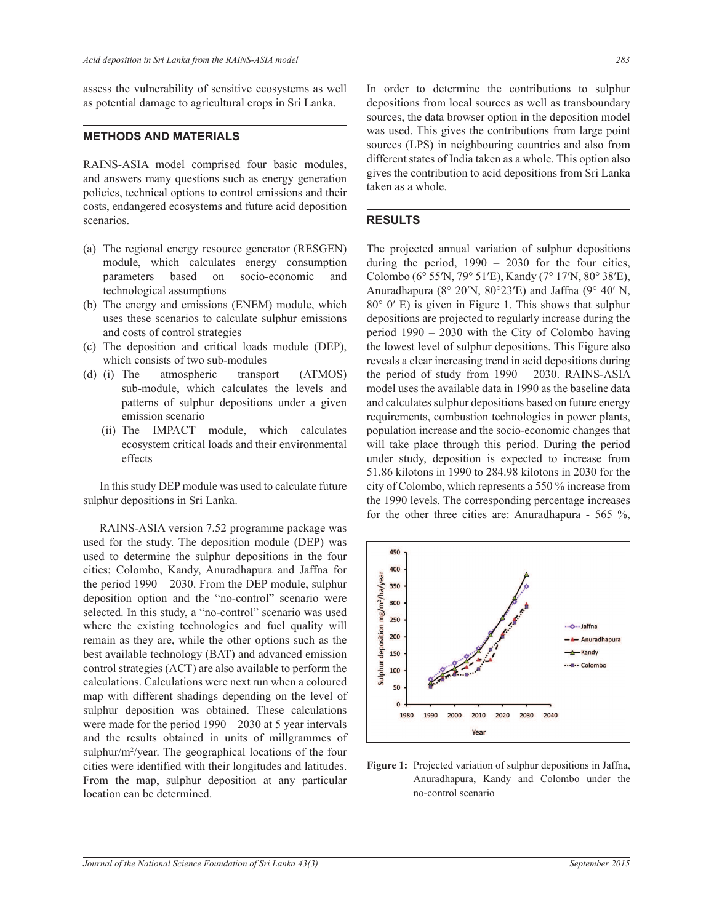assess the vulnerability of sensitive ecosystems as well as potential damage to agricultural crops in Sri Lanka.

#### **METHODS AND MATERIALS**

RAINS-ASIA model comprised four basic modules, and answers many questions such as energy generation policies, technical options to control emissions and their costs, endangered ecosystems and future acid deposition scenarios.

- (a) The regional energy resource generator (RESGEN) module, which calculates energy consumption parameters based on socio-economic and technological assumptions
- (b) The energy and emissions (ENEM) module, which uses these scenarios to calculate sulphur emissions and costs of control strategies
- (c) The deposition and critical loads module (DEP), which consists of two sub-modules
- (d) (i) The atmospheric transport (ATMOS) sub-module, which calculates the levels and patterns of sulphur depositions under a given emission scenario
	- (ii) The IMPACT module, which calculates ecosystem critical loads and their environmental effects

 In this study DEP module was used to calculate future sulphur depositions in Sri Lanka.

 RAINS-ASIA version 7.52 programme package was used for the study. The deposition module (DEP) was used to determine the sulphur depositions in the four cities; Colombo, Kandy, Anuradhapura and Jaffna for the period  $1990 - 2030$ . From the DEP module, sulphur deposition option and the "no-control" scenario were selected. In this study, a "no-control" scenario was used where the existing technologies and fuel quality will remain as they are, while the other options such as the best available technology (BAT) and advanced emission control strategies (ACT) are also available to perform the calculations. Calculations were next run when a coloured map with different shadings depending on the level of sulphur deposition was obtained. These calculations were made for the period  $1990 - 2030$  at 5 year intervals and the results obtained in units of millgrammes of sulphur/m<sup>2</sup>/year. The geographical locations of the four cities were identified with their longitudes and latitudes. From the map, sulphur deposition at any particular location can be determined.

In order to determine the contributions to sulphur depositions from local sources as well as transboundary sources, the data browser option in the deposition model was used. This gives the contributions from large point sources (LPS) in neighbouring countries and also from different states of India taken as a whole. This option also gives the contribution to acid depositions from Sri Lanka taken as a whole.

#### **RESULTS**

The projected annual variation of sulphur depositions during the period,  $1990 - 2030$  for the four cities, Colombo (6° 55′N, 79° 51′E), Kandy (7° 17′N, 80° 38′E), Anuradhapura ( $8^{\circ}$  20′N,  $80^{\circ}$ 23′E) and Jaffna ( $9^{\circ}$  40′ N, 80° 0′ E) is given in Figure 1. This shows that sulphur depositions are projected to regularly increase during the period 1990 ‒ 2030 with the City of Colombo having the lowest level of sulphur depositions. This Figure also reveals a clear increasing trend in acid depositions during the period of study from  $1990 - 2030$ . RAINS-ASIA model uses the available data in 1990 as the baseline data and calculates sulphur depositions based on future energy requirements, combustion technologies in power plants, population increase and the socio-economic changes that will take place through this period. During the period under study, deposition is expected to increase from 51.86 kilotons in 1990 to 284.98 kilotons in 2030 for the city of Colombo, which represents a 550 % increase from the 1990 levels. The corresponding percentage increases for the other three cities are: Anuradhapura - 565 %,



**Figure 1:** Projected variation of sulphur depositions in Jaffna, Anuradhapura, Kandy and Colombo under the no-control scenario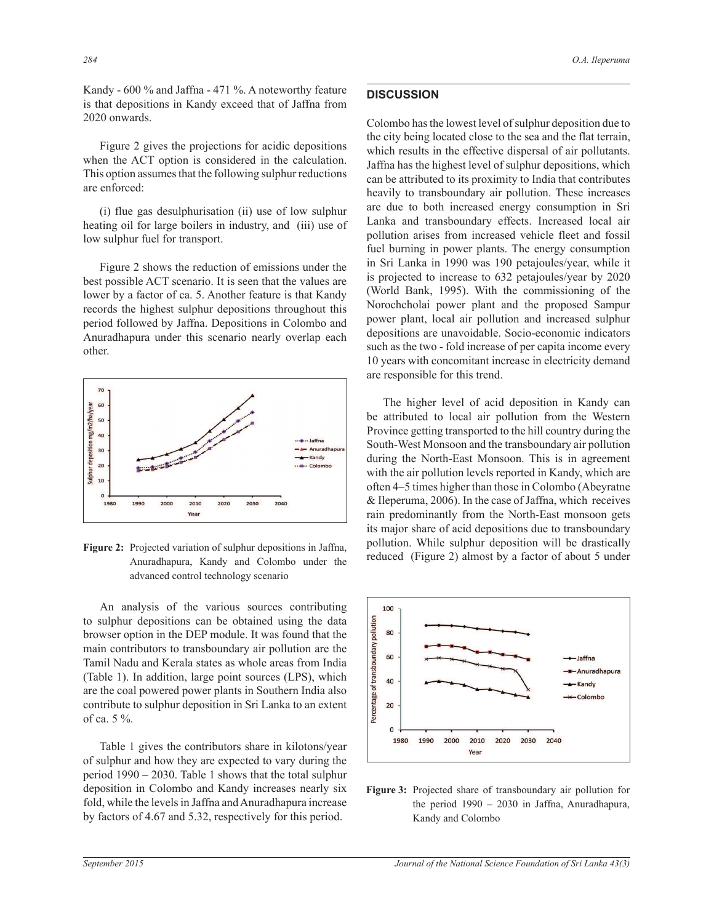Kandy - 600 % and Jaffna - 471 %. A noteworthy feature is that depositions in Kandy exceed that of Jaffna from 2020 onwards.

 Figure 2 gives the projections for acidic depositions when the ACT option is considered in the calculation. This option assumes that the following sulphur reductions are enforced:

 (i) flue gas desulphurisation (ii) use of low sulphur heating oil for large boilers in industry, and (iii) use of low sulphur fuel for transport.

 Figure 2 shows the reduction of emissions under the best possible ACT scenario. It is seen that the values are lower by a factor of ca. 5. Another feature is that Kandy records the highest sulphur depositions throughout this period followed by Jaffna. Depositions in Colombo and Anuradhapura under this scenario nearly overlap each other.



**Figure 2:** Projected variation of sulphur depositions in Jaffna, Anuradhapura, Kandy and Colombo under the advanced control technology scenario

 An analysis of the various sources contributing to sulphur depositions can be obtained using the data browser option in the DEP module. It was found that the main contributors to transboundary air pollution are the Tamil Nadu and Kerala states as whole areas from India (Table 1). In addition, large point sources (LPS), which are the coal powered power plants in Southern India also contribute to sulphur deposition in Sri Lanka to an extent of ca. 5 %.

 Table 1 gives the contributors share in kilotons/year of sulphur and how they are expected to vary during the period  $1990 - 2030$ . Table 1 shows that the total sulphur deposition in Colombo and Kandy increases nearly six fold, while the levels in Jaffna and Anuradhapura increase by factors of 4.67 and 5.32, respectively for this period.

### **DISCUSSION**

Colombo has the lowest level of sulphur deposition due to the city being located close to the sea and the flat terrain, which results in the effective dispersal of air pollutants. Jaffna has the highest level of sulphur depositions, which can be attributed to its proximity to India that contributes heavily to transboundary air pollution. These increases are due to both increased energy consumption in Sri Lanka and transboundary effects. Increased local air pollution arises from increased vehicle fleet and fossil fuel burning in power plants. The energy consumption in Sri Lanka in 1990 was 190 petajoules/year, while it is projected to increase to 632 petajoules/year by 2020 (World Bank, 1995). With the commissioning of the Norochcholai power plant and the proposed Sampur power plant, local air pollution and increased sulphur depositions are unavoidable. Socio-economic indicators such as the two - fold increase of per capita income every 10 years with concomitant increase in electricity demand are responsible for this trend.

 The higher level of acid deposition in Kandy can be attributed to local air pollution from the Western Province getting transported to the hill country during the South-West Monsoon and the transboundary air pollution during the North-East Monsoon. This is in agreement with the air pollution levels reported in Kandy, which are often 4–5 times higher than those in Colombo (Abeyratne & Ileperuma, 2006). In the case of Jaffna, which receives rain predominantly from the North-East monsoon gets its major share of acid depositions due to transboundary pollution. While sulphur deposition will be drastically reduced (Figure 2) almost by a factor of about 5 under



**Figure 3:** Projected share of transboundary air pollution for the period  $1990 - 2030$  in Jaffna, Anuradhapura, Kandy and Colombo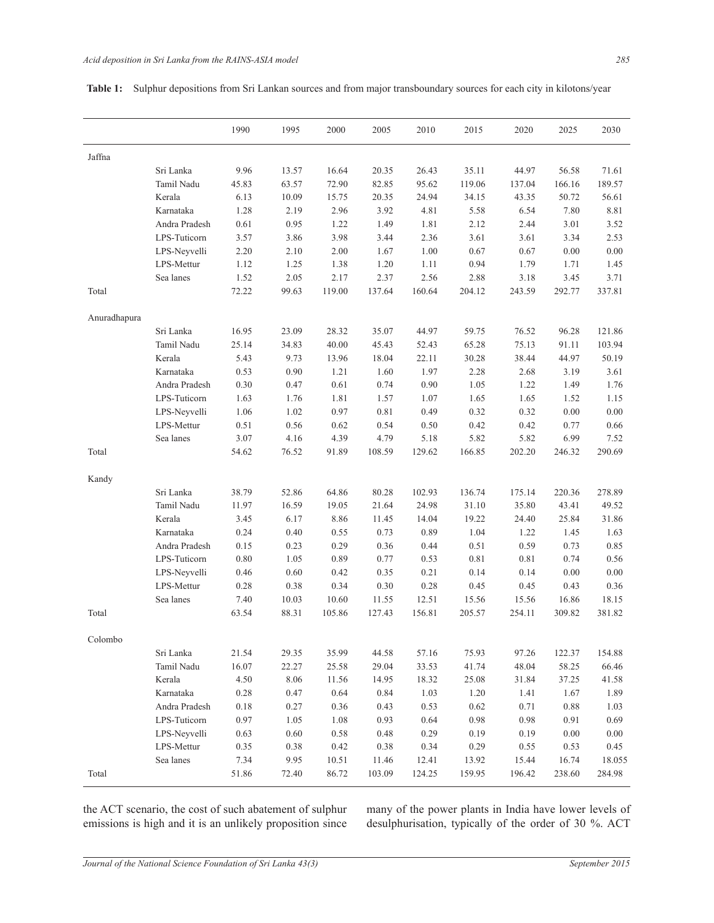|  |  | <b>Table 1:</b> Sulphur depositions from Sri Lankan sources and from major transboundary sources for each city in kilotons/year |
|--|--|---------------------------------------------------------------------------------------------------------------------------------|
|  |  |                                                                                                                                 |

|              |               | 1990  | 1995  | 2000   | 2005   | 2010   | 2015   | 2020   | 2025   | 2030   |
|--------------|---------------|-------|-------|--------|--------|--------|--------|--------|--------|--------|
| Jaffna       |               |       |       |        |        |        |        |        |        |        |
|              | Sri Lanka     | 9.96  | 13.57 | 16.64  | 20.35  | 26.43  | 35.11  | 44.97  | 56.58  | 71.61  |
|              | Tamil Nadu    | 45.83 | 63.57 | 72.90  | 82.85  | 95.62  | 119.06 | 137.04 | 166.16 | 189.57 |
|              | Kerala        | 6.13  | 10.09 | 15.75  | 20.35  | 24.94  | 34.15  | 43.35  | 50.72  | 56.61  |
|              | Karnataka     | 1.28  | 2.19  | 2.96   | 3.92   | 4.81   | 5.58   | 6.54   | 7.80   | 8.81   |
|              | Andra Pradesh | 0.61  | 0.95  | 1.22   | 1.49   | 1.81   | 2.12   | 2.44   | 3.01   | 3.52   |
|              | LPS-Tuticorn  | 3.57  | 3.86  | 3.98   | 3.44   | 2.36   | 3.61   | 3.61   | 3.34   | 2.53   |
|              | LPS-Neyvelli  | 2.20  | 2.10  | 2.00   | 1.67   | 1.00   | 0.67   | 0.67   | 0.00   | 0.00   |
|              | LPS-Mettur    | 1.12  | 1.25  | 1.38   | 1.20   | 1.11   | 0.94   | 1.79   | 1.71   | 1.45   |
|              | Sea lanes     | 1.52  | 2.05  | 2.17   | 2.37   | 2.56   | 2.88   | 3.18   | 3.45   | 3.71   |
| Total        |               | 72.22 | 99.63 | 119.00 | 137.64 | 160.64 | 204.12 | 243.59 | 292.77 | 337.81 |
| Anuradhapura |               |       |       |        |        |        |        |        |        |        |
|              | Sri Lanka     | 16.95 | 23.09 | 28.32  | 35.07  | 44.97  | 59.75  | 76.52  | 96.28  | 121.86 |
|              | Tamil Nadu    | 25.14 | 34.83 | 40.00  | 45.43  | 52.43  | 65.28  | 75.13  | 91.11  | 103.94 |
|              | Kerala        | 5.43  | 9.73  | 13.96  | 18.04  | 22.11  | 30.28  | 38.44  | 44.97  | 50.19  |
|              | Karnataka     | 0.53  | 0.90  | 1.21   | 1.60   | 1.97   | 2.28   | 2.68   | 3.19   | 3.61   |
|              | Andra Pradesh | 0.30  | 0.47  | 0.61   | 0.74   | 0.90   | 1.05   | 1.22   | 1.49   | 1.76   |
|              | LPS-Tuticorn  | 1.63  | 1.76  | 1.81   | 1.57   | 1.07   | 1.65   | 1.65   | 1.52   | 1.15   |
|              | LPS-Neyvelli  | 1.06  | 1.02  | 0.97   | 0.81   | 0.49   | 0.32   | 0.32   | 0.00   | 0.00   |
|              | LPS-Mettur    | 0.51  | 0.56  | 0.62   | 0.54   | 0.50   | 0.42   | 0.42   | 0.77   | 0.66   |
|              | Sea lanes     | 3.07  | 4.16  | 4.39   | 4.79   | 5.18   | 5.82   | 5.82   | 6.99   | 7.52   |
| Total        |               | 54.62 | 76.52 | 91.89  | 108.59 | 129.62 | 166.85 | 202.20 | 246.32 | 290.69 |
| Kandy        |               |       |       |        |        |        |        |        |        |        |
|              | Sri Lanka     | 38.79 | 52.86 | 64.86  | 80.28  | 102.93 | 136.74 | 175.14 | 220.36 | 278.89 |
|              | Tamil Nadu    | 11.97 | 16.59 | 19.05  | 21.64  | 24.98  | 31.10  | 35.80  | 43.41  | 49.52  |
|              | Kerala        | 3.45  | 6.17  | 8.86   | 11.45  | 14.04  | 19.22  | 24.40  | 25.84  | 31.86  |
|              | Karnataka     | 0.24  | 0.40  | 0.55   | 0.73   | 0.89   | 1.04   | 1.22   | 1.45   | 1.63   |
|              | Andra Pradesh | 0.15  | 0.23  | 0.29   | 0.36   | 0.44   | 0.51   | 0.59   | 0.73   | 0.85   |
|              | LPS-Tuticorn  | 0.80  | 1.05  | 0.89   | 0.77   | 0.53   | 0.81   | 0.81   | 0.74   | 0.56   |
|              | LPS-Neyvelli  | 0.46  | 0.60  | 0.42   | 0.35   | 0.21   | 0.14   | 0.14   | 0.00   | 0.00   |
|              | LPS-Mettur    | 0.28  | 0.38  | 0.34   | 0.30   | 0.28   | 0.45   | 0.45   | 0.43   | 0.36   |
|              | Sea lanes     | 7.40  | 10.03 | 10.60  | 11.55  | 12.51  | 15.56  | 15.56  | 16.86  | 18.15  |
| Total        |               | 63.54 | 88.31 | 105.86 | 127.43 | 156.81 | 205.57 | 254.11 | 309.82 | 381.82 |
| Colombo      |               |       |       |        |        |        |        |        |        |        |
|              | Sri Lanka     | 21.54 | 29.35 | 35.99  | 44.58  | 57.16  | 75.93  | 97.26  | 122.37 | 154.88 |
|              | Tamil Nadu    | 16.07 | 22.27 | 25.58  | 29.04  | 33.53  | 41.74  | 48.04  | 58.25  | 66.46  |
|              | Kerala        | 4.50  | 8.06  | 11.56  | 14.95  | 18.32  | 25.08  | 31.84  | 37.25  | 41.58  |
|              | Karnataka     | 0.28  | 0.47  | 0.64   | 0.84   | 1.03   | 1.20   | 1.41   | 1.67   | 1.89   |
|              | Andra Pradesh | 0.18  | 0.27  | 0.36   | 0.43   | 0.53   | 0.62   | 0.71   | 0.88   | 1.03   |
|              | LPS-Tuticorn  | 0.97  | 1.05  | 1.08   | 0.93   | 0.64   | 0.98   | 0.98   | 0.91   | 0.69   |
|              | LPS-Neyvelli  | 0.63  | 0.60  | 0.58   | 0.48   | 0.29   | 0.19   | 0.19   | 0.00   | 0.00   |
|              | LPS-Mettur    | 0.35  | 0.38  | 0.42   | 0.38   | 0.34   | 0.29   | 0.55   | 0.53   | 0.45   |
|              | Sea lanes     | 7.34  | 9.95  | 10.51  | 11.46  | 12.41  | 13.92  | 15.44  | 16.74  | 18.055 |
| Total        |               | 51.86 | 72.40 | 86.72  | 103.09 | 124.25 | 159.95 | 196.42 | 238.60 | 284.98 |
|              |               |       |       |        |        |        |        |        |        |        |

the ACT scenario, the cost of such abatement of sulphur emissions is high and it is an unlikely proposition since many of the power plants in India have lower levels of desulphurisation, typically of the order of 30 %. ACT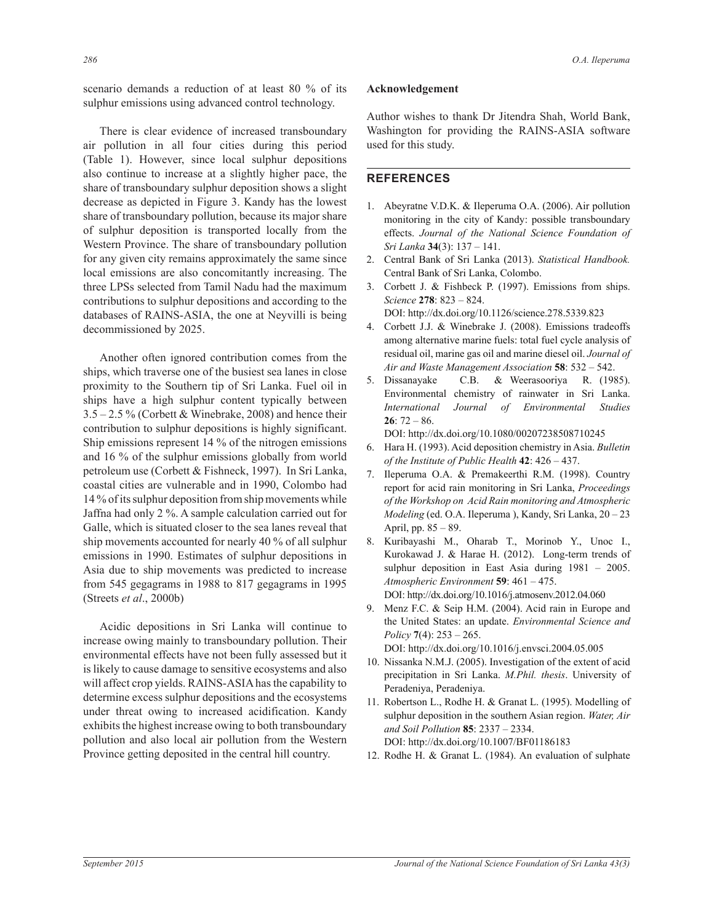scenario demands a reduction of at least 80 % of its sulphur emissions using advanced control technology.

 There is clear evidence of increased transboundary air pollution in all four cities during this period (Table 1). However, since local sulphur depositions also continue to increase at a slightly higher pace, the share of transboundary sulphur deposition shows a slight decrease as depicted in Figure 3. Kandy has the lowest share of transboundary pollution, because its major share of sulphur deposition is transported locally from the Western Province. The share of transboundary pollution for any given city remains approximately the same since local emissions are also concomitantly increasing. The three LPSs selected from Tamil Nadu had the maximum contributions to sulphur depositions and according to the databases of RAINS-ASIA, the one at Neyvilli is being decommissioned by 2025.

 Another often ignored contribution comes from the ships, which traverse one of the busiest sea lanes in close proximity to the Southern tip of Sri Lanka. Fuel oil in ships have a high sulphur content typically between  $3.5 - 2.5\%$  (Corbett & Winebrake, 2008) and hence their contribution to sulphur depositions is highly significant. Ship emissions represent 14 % of the nitrogen emissions and 16 % of the sulphur emissions globally from world petroleum use (Corbett & Fishneck, 1997). In Sri Lanka, coastal cities are vulnerable and in 1990, Colombo had 14 % of its sulphur deposition from ship movements while Jaffna had only 2 %. A sample calculation carried out for Galle, which is situated closer to the sea lanes reveal that ship movements accounted for nearly 40 % of all sulphur emissions in 1990. Estimates of sulphur depositions in Asia due to ship movements was predicted to increase from 545 gegagrams in 1988 to 817 gegagrams in 1995 (Streets *et al*., 2000b)

 Acidic depositions in Sri Lanka will continue to increase owing mainly to transboundary pollution. Their environmental effects have not been fully assessed but it is likely to cause damage to sensitive ecosystems and also will affect crop yields. RAINS-ASIA has the capability to determine excess sulphur depositions and the ecosystems under threat owing to increased acidification. Kandy exhibits the highest increase owing to both transboundary pollution and also local air pollution from the Western Province getting deposited in the central hill country.

#### **Acknowledgement**

Author wishes to thank Dr Jitendra Shah, World Bank, Washington for providing the RAINS-ASIA software used for this study.

# **REFERENCES**

- 1. Abeyratne V.D.K. & Ileperuma O.A. (2006). Air pollution monitoring in the city of Kandy: possible transboundary effects. *Journal of the National Science Foundation of Sri Lanka* **34**(3): 137 ‒ 141.
- 2. Central Bank of Sri Lanka (2013). *Statistical Handbook.* Central Bank of Sri Lanka, Colombo.
- 3. Corbett J. & Fishbeck P. (1997). Emissions from ships. *Science* **278**: 823 ‒ 824. DOI: http://dx.doi.org/10.1126/science.278.5339.823

4. Corbett J.J. & Winebrake J. (2008). Emissions tradeoffs among alternative marine fuels: total fuel cycle analysis of residual oil, marine gas oil and marine diesel oil. *Journal of Air and Waste Management Association* **58**: 532 ‒ 542.

5. Dissanayake C.B. & Weerasooriya R. (1985). Environmental chemistry of rainwater in Sri Lanka. *International Journal of Environmental Studies* **26**: 72 ‒ 86.

DOI: http://dx.doi.org/10.1080/00207238508710245

- 6. Hara H. (1993). Acid deposition chemistry in Asia. *Bulletin of the Institute of Public Health* **42**: 426 ‒ 437.
- 7. Ileperuma O.A. & Premakeerthi R.M. (1998). Country report for acid rain monitoring in Sri Lanka, *Proceedings of the Workshop on Acid Rain monitoring and Atmospheric Modeling (ed. O.A. Ileperuma ), Kandy, Sri Lanka, 20 - 23* April, pp.  $85 - 89$ .
- 8. Kuribayashi M., Oharab T., Morinob Y., Unoc I., Kurokawad J. & Harae H. (2012). Long-term trends of sulphur deposition in East Asia during 1981 - 2005. *Atmospheric Environment* **59**: 461 ‒ 475.

 DOI: http://dx.doi.org/10.1016/j.atmosenv.2012.04.060 9. Menz F.C. & Seip H.M. (2004). Acid rain in Europe and the United States: an update. *Environmental Science and* 

*Policy* **7**(4): 253 ‒ 265. DOI: http://dx.doi.org/10.1016/j.envsci.2004.05.005

- 10. Nissanka N.M.J. (2005). Investigation of the extent of acid precipitation in Sri Lanka. *M.Phil. thesis*. University of Peradeniya, Peradeniya.
- 11. Robertson L., Rodhe H. & Granat L. (1995). Modelling of sulphur deposition in the southern Asian region. *Water, Air and Soil Pollution* **85**: 2337 ‒ 2334. DOI: http://dx.doi.org/10.1007/BF01186183
- 12. Rodhe H. & Granat L. (1984). An evaluation of sulphate